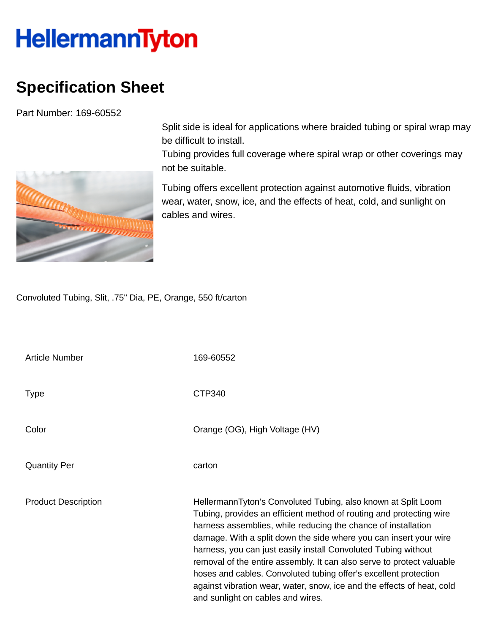## **HellermannTyton**

## **Specification Sheet**

Part Number: 169-60552



Split side is ideal for applications where braided tubing or spiral wrap may be difficult to install.

Tubing provides full coverage where spiral wrap or other coverings may not be suitable.

Tubing offers excellent protection against automotive fluids, vibration wear, water, snow, ice, and the effects of heat, cold, and sunlight on cables and wires.

Convoluted Tubing, Slit, .75" Dia, PE, Orange, 550 ft/carton

| <b>Article Number</b>      | 169-60552                                                                                                                                                                                                                                                                                                                                                                                                                                                                                                                                                                                                |
|----------------------------|----------------------------------------------------------------------------------------------------------------------------------------------------------------------------------------------------------------------------------------------------------------------------------------------------------------------------------------------------------------------------------------------------------------------------------------------------------------------------------------------------------------------------------------------------------------------------------------------------------|
| <b>Type</b>                | CTP340                                                                                                                                                                                                                                                                                                                                                                                                                                                                                                                                                                                                   |
| Color                      | Orange (OG), High Voltage (HV)                                                                                                                                                                                                                                                                                                                                                                                                                                                                                                                                                                           |
| <b>Quantity Per</b>        | carton                                                                                                                                                                                                                                                                                                                                                                                                                                                                                                                                                                                                   |
| <b>Product Description</b> | HellermannTyton's Convoluted Tubing, also known at Split Loom<br>Tubing, provides an efficient method of routing and protecting wire<br>harness assemblies, while reducing the chance of installation<br>damage. With a split down the side where you can insert your wire<br>harness, you can just easily install Convoluted Tubing without<br>removal of the entire assembly. It can also serve to protect valuable<br>hoses and cables. Convoluted tubing offer's excellent protection<br>against vibration wear, water, snow, ice and the effects of heat, cold<br>and sunlight on cables and wires. |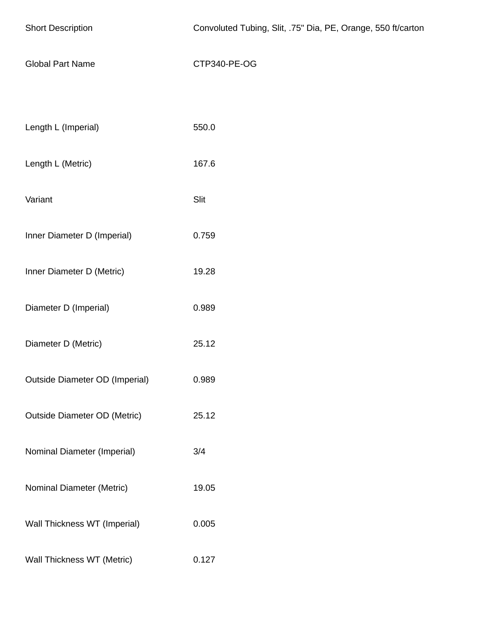| <b>Short Description</b>              | Convoluted Tubing, Slit, .75" Dia, PE, Orange, 550 ft/carton |
|---------------------------------------|--------------------------------------------------------------|
| <b>Global Part Name</b>               | CTP340-PE-OG                                                 |
|                                       |                                                              |
| Length L (Imperial)                   | 550.0                                                        |
| Length L (Metric)                     | 167.6                                                        |
| Variant                               | Slit                                                         |
| Inner Diameter D (Imperial)           | 0.759                                                        |
| Inner Diameter D (Metric)             | 19.28                                                        |
| Diameter D (Imperial)                 | 0.989                                                        |
| Diameter D (Metric)                   | 25.12                                                        |
| <b>Outside Diameter OD (Imperial)</b> | 0.989                                                        |
| <b>Outside Diameter OD (Metric)</b>   | 25.12                                                        |
| Nominal Diameter (Imperial)           | 3/4                                                          |
| Nominal Diameter (Metric)             | 19.05                                                        |
| Wall Thickness WT (Imperial)          | 0.005                                                        |
| Wall Thickness WT (Metric)            | 0.127                                                        |